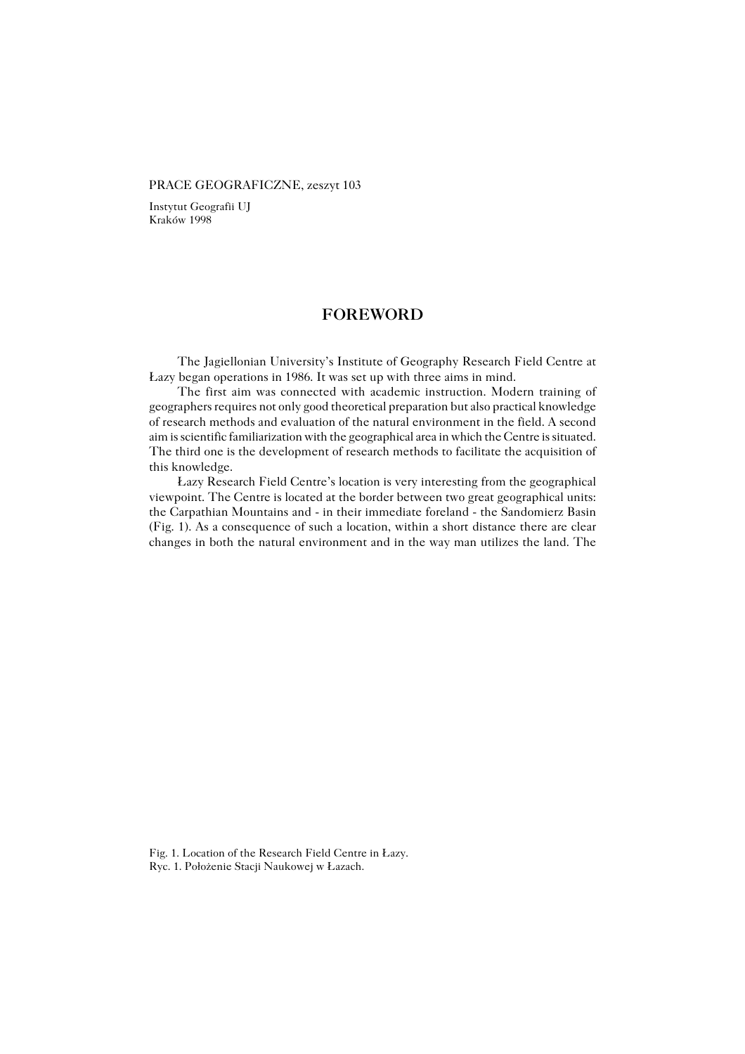## PRACE GEOGRAFICZNE, zeszyt 103

Instytut Geografii UJ Kraków 1998

## **FOREWORD**

The Jagiellonian University's Institute of Geography Research Field Centre at Łazy began operations in 1986. It was set up with three aims in mind.

The first aim was connected with academic instruction. Modern training of geographers requires not only good theoretical preparation but also practical knowledge of research methods and evaluation of the natural environment in the field. A second aim is scientific familiarization with the geographical area in which the Centre is situated. The third one is the development of research methods to facilitate the acquisition of this knowledge.

Łazy Research Field Centre's location is very interesting from the geographical viewpoint. The Centre is located at the border between two great geographical units: the Carpathian Mountains and − in their immediate foreland − the Sandomierz Basin (Fig. 1). As a consequence of such a location, within a short distance there are clear changes in both the natural environment and in the way man utilizes the land. The

Fig. 1. Location of the Research Field Centre in Łazy. Ryc. 1. Położenie Stacji Naukowej w Łazach.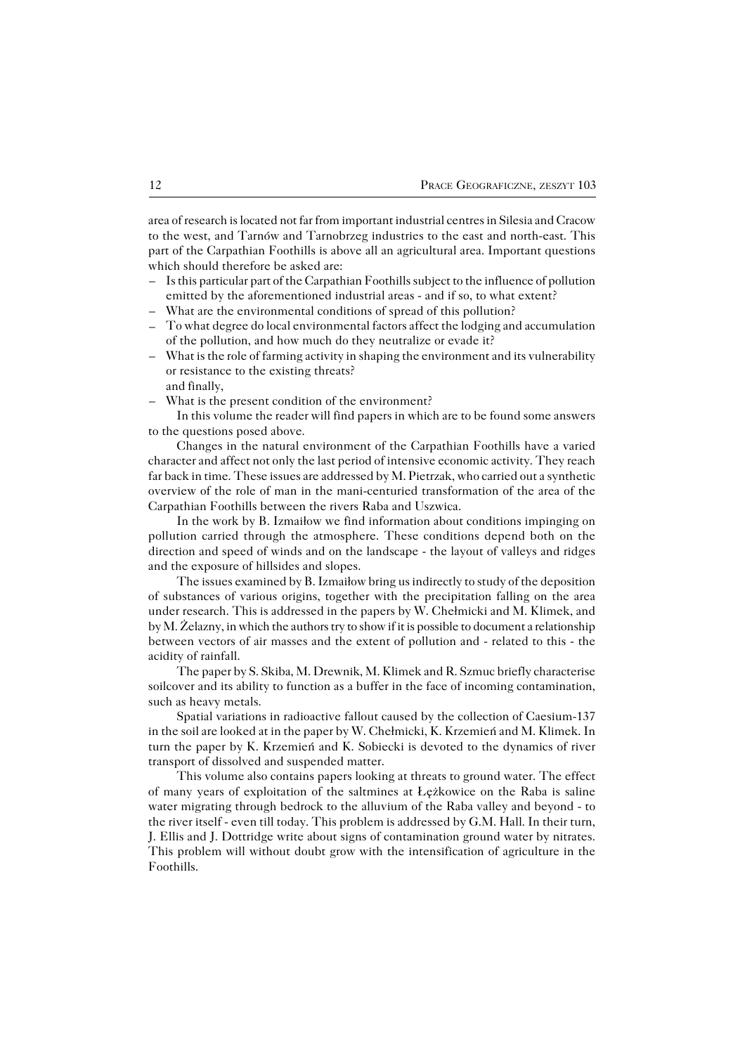area of research is located not far from important industrial centres in Silesia and Cracow to the west, and Tarnów and Tarnobrzeg industries to the east and north−east. This part of the Carpathian Foothills is above all an agricultural area. Important questions which should therefore be asked are:

- Is this particular part of the Carpathian Foothills subject to the influence of pollution emitted by the aforementioned industrial areas - and if so, to what extent? –
- What are the environmental conditions of spread of this pollution? –
- To what degree do local environmental factors affect the lodging and accumulation of the pollution, and how much do they neutralize or evade it?
- What is the role of farming activity in shaping the environment and its vulnerability or resistance to the existing threats? and finally, –
- What is the present condition of the environment? –

In this volume the reader will find papers in which are to be found some answers to the questions posed above.

Changes in the natural environment of the Carpathian Foothills have a varied character and affect not only the last period of intensive economic activity. They reach far back in time. These issues are addressed by M. Pietrzak, who carried out a synthetic overview of the role of man in the mani−centuried transformation of the area of the Carpathian Foothills between the rivers Raba and Uszwica.

In the work by B. Izmaiłow we find information about conditions impinging on pollution carried through the atmosphere. These conditions depend both on the direction and speed of winds and on the landscape − the layout of valleys and ridges and the exposure of hillsides and slopes.

The issues examined by B. Izmaiłow bring us indirectly to study of the deposition of substances of various origins, together with the precipitation falling on the area under research. This is addressed in the papers by W. Chełmicki and M. Klimek, and by M. Żelazny, in which the authors try to show if it is possible to document a relationship between vectors of air masses and the extent of pollution and − related to this − the acidity of rainfall.

The paper by S. Skiba, M. Drewnik, M. Klimek and R. Szmuc briefly characterise soilcover and its ability to function as a buffer in the face of incoming contamination, such as heavy metals.

Spatial variations in radioactive fallout caused by the collection of Caesium−137 in the soil are looked at in the paper by W. Chełmicki, K. Krzemień and M. Klimek. In turn the paper by K. Krzemień and K. Sobiecki is devoted to the dynamics of river transport of dissolved and suspended matter.

This volume also contains papers looking at threats to ground water. The effect of many years of exploitation of the saltmines at Łężkowice on the Raba is saline water migrating through bedrock to the alluvium of the Raba valley and beyond − to the river itself − even till today. This problem is addressed by G.M. Hall. In their turn, J. Ellis and J. Dottridge write about signs of contamination ground water by nitrates. This problem will without doubt grow with the intensification of agriculture in the Foothills.